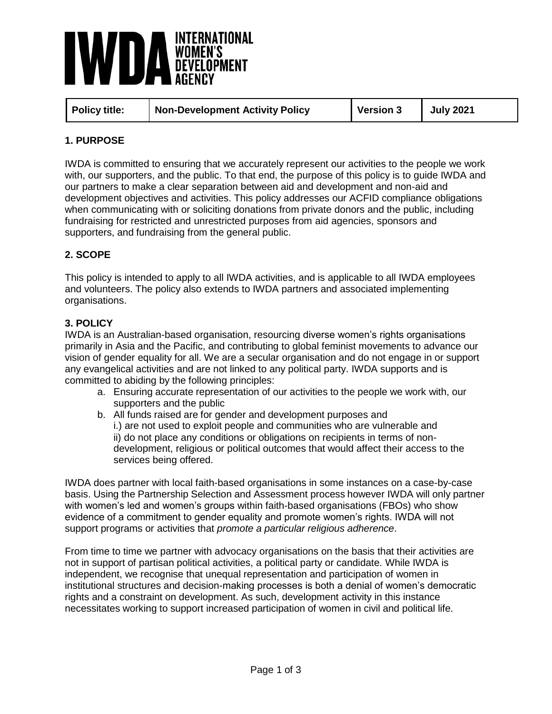

| Policy title: | <b>Non-Development Activity Policy</b> | Version 3 | <b>July 2021</b> |
|---------------|----------------------------------------|-----------|------------------|
|---------------|----------------------------------------|-----------|------------------|

# **1. PURPOSE**

IWDA is committed to ensuring that we accurately represent our activities to the people we work with, our supporters, and the public. To that end, the purpose of this policy is to guide IWDA and our partners to make a clear separation between aid and development and non-aid and development objectives and activities. This policy addresses our ACFID compliance obligations when communicating with or soliciting donations from private donors and the public, including fundraising for restricted and unrestricted purposes from aid agencies, sponsors and supporters, and fundraising from the general public.

# **2. SCOPE**

This policy is intended to apply to all IWDA activities, and is applicable to all IWDA employees and volunteers. The policy also extends to IWDA partners and associated implementing organisations.

## **3. POLICY**

IWDA is an Australian-based organisation, resourcing diverse women's rights organisations primarily in Asia and the Pacific, and contributing to global feminist movements to advance our vision of gender equality for all. We are a secular organisation and do not engage in or support any evangelical activities and are not linked to any political party. IWDA supports and is committed to abiding by the following principles:

- a. Ensuring accurate representation of our activities to the people we work with, our supporters and the public
- b. All funds raised are for gender and development purposes and i.) are not used to exploit people and communities who are vulnerable and ii) do not place any conditions or obligations on recipients in terms of nondevelopment, religious or political outcomes that would affect their access to the services being offered.

IWDA does partner with local faith-based organisations in some instances on a case-by-case basis. Using the Partnership Selection and Assessment process however IWDA will only partner with women's led and women's groups within faith-based organisations (FBOs) who show evidence of a commitment to gender equality and promote women's rights. IWDA will not support programs or activities that *promote a particular religious adherence*.

From time to time we partner with advocacy organisations on the basis that their activities are not in support of partisan political activities, a political party or candidate. While IWDA is independent, we recognise that unequal representation and participation of women in institutional structures and decision-making processes is both a denial of women's democratic rights and a constraint on development. As such, development activity in this instance necessitates working to support increased participation of women in civil and political life.